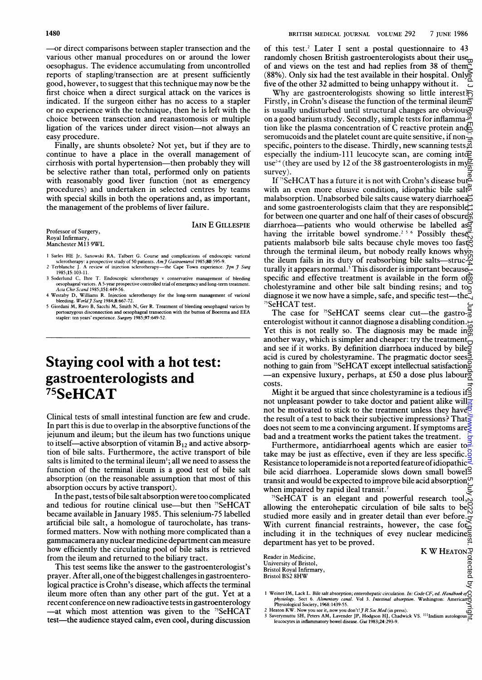-or direct comparisons between stapler transection and the various other manual procedures on or around the lower oesophagus. The evidence accumulating from uncontrolled reports of stapling/transection are at present sufficiently good, however, to suggest that this technique may now be the first choice when a direct surgical attack on the varices is indicated. If the surgeon either has no access to a stapler or no experience with the technique, then he is left with the choice between transection and reanastomosis or multiple ligation of the varices under direct vision-not always an easy procedure.

Finally, are shunts obsolete? Not yet, but if they are to continue to have a place in the overall management of cirrhosis with portal hypertension—then probably they will be selective rather than total, performed only on patients with reasonably good liver function (not as emergency procedures) and undertaken in selected centres by teams with special skills in both the operations and, as important, the management of the problems of liver failure.

Professor of Surgery, Royal Infirmary, Manchester M13 9WL **LAIN E GILLESPIE** 

- 1 Sarles HE Jr, Sanowski RA, Talbert G. Course and complications of endoscopic variceal<br>sclerotherapy: a prospective study of 50 patients. Am J Gastroenterol 1985;80:595-9.<br>2 Terblanche J. A review of injection sclerothera
- 1985;15:103-1 1. 3 Soderlund C, Ihre T. Endowcopic sckerotherapy v conservative management of bkeding oesophagealvarices. A 5-year prospective controlled trial ofemergenyand long-term treatment.
- Acta ChirScand 1985;151:449-56.
- 4 Westaby D, Williams R. Injection sclerotherapy for the long-term management of variceal<br>bleeding. World J Surg 1984;8:667-72.<br>5 Giordani M, Ravo B, Sacchi M, Smith N, Ger R. Treatment of bleeding oesophageal varices by portoazygous disconnection and oesophageal transection with the button of Boerema and EEA<br>stapler: ten years' experience. *Surger*y 1985;97:649-52.

## Staying cool with a hot test: gastroenterologists and 75SeHCAT

Clinical tests of small intestinal function are few and crude. In part this is due to overlap in the absorptive functions of the jejunum and ileum; but the ileum has two functions unique to itself—active absorption of vitamin  $B_{12}$  and active absorption of bile salts. Furthermore, the active transport of bile salts is limited to the terminal ileum'; all we need to assess the function of the terminal ileum is a good test of bile salt absorption (on the reasonable assumption that most of this absorption occurs by active transport).

In the past, tests of bile salt absorption were too complicated and tedious for routine clinical use—but then <sup>75</sup>SeHCAT became available in January 1985. This selenium-75 labelled artificial bile salt, a homologue of taurocholate, has transformed matters. Now with nothing more complicated than <sup>a</sup> gammacamera anynuclear medicine department can measure how efficiently the circulating pool of bile salts is retrieved from the ileum and returned to the biliary tract.

This test seems like the answer to the gastroenterologist's prayer. After all, one of the biggest challenges in gastroenterological practice is Crohn's disease, which affects the terminal ileum more often than any other part of the gut. Yet at a recent conference on newradioactive testsingastroenterology -at which most attention was given to the  $75$ SeHCAT test-the audience stayed calm, even cool, during discussion of this test.<sup>2</sup> Later I sent a postal questionnaire to 43 of this test. Later I send a *Form*  $\frac{1}{2}$  and  $\frac{1}{2}$  randomly chosen British gastroenterologists about their use of and views on the test and had replies from 38 of them (88%). Only six had the test available in their hospital. Only five of the other 32 admitted to being unhappy without it.

Why are gastroenterologists showing so little interest $\approx$ Firstly, in Crohn's disease the function of the terminal ileum $\bar{F}$ is usually undisturbed until structural changes are obvious on a good barium study. Secondly, simple tests for inflamma- $\ddot{\phi}$ tion like the plasma concentration of C reactive protein and seromucoids and the platelet count are quite sensitive, if nonspecific, pointers to the disease. Thirdly, new scanning tests, especially the indium-111 leucocyte scan, are coming intos use<sup>24</sup> (they are used by 12 of the 38 gastroenterologists in my survey).

If <sup>75</sup>SeHCAT has a future it is not with Crohn's disease but  $\mathbb{B}$ with an even more elusive condition, idiopathic bile salt<sup>8</sup> malabsorption. Unabsorbed bile salts cause watery diarrhoea and some gastroenterologists claim that they are responsible $\triangle$ for between one quarter and one half of their cases of obscure<sup>9</sup> diarrhoea-patients who would otherwise be labelled as  $\overline{S}$ having the irritable bowel syndrome.<sup>256</sup> Possibly these patients malabsorb bile salts because chyle moves too fastig through the terminal ileum, but nobody really knows whyp the ileum fails in its duty of reabsorbing bile salts-struc- $\check{\mathfrak{G}}$ turally it appears normal.<sup>5</sup> This disorder is important because. specific and effective treatment is available in the form of  $\frac{1}{2}$ cholestyramine and other bile salt binding resins; and too diagnose it we now have a simple, safe, and specific test-the<sup>7</sup> <sup>5</sup>SeHCAT test. protected by the secopyright. Protected by copyright. Here is the Medicium Medicium Medicium Medicium Disclusio

The case for <sup>75</sup>SeHCAT seems clear cut—the gastro- $\frac{5}{6}$ enterologist without it cannot diagnose a disabling condition. Yet this is not really so. The diagnosis may be made in another way, which is simpler and cheaper: try the treatment and see if it works. By definition diarrhoea induced by bile acid is cured by cholestyramine. The pragmatic doctor sees  $\leq$ nothing to gain from <sup>75</sup>SeHCAT except intellectual satisfaction  $\overline{\mathcal{O}}$ -an expensive luxury, perhaps, at £50 <sup>a</sup> dose plus labour costs.

Might it be argued that since cholestyramine is a tedious if not unpleasant powder to take doctor and patient alike will $\frac{1}{2}$ not be motivated to stick to the treatment unless they have<sup>r</sup> the result of a test to back their subjective impressions? That does not seem to me a convincing argument. If symptoms are $\bar{\xi}$ bad and a treatment works the patient takes the treatment.

Furthermore, antidiarrhoeal agents which are easier to.<sup>2</sup> take may be just as effective, even if they are less specific.  $\frac{8}{9}$ Resistance to loperamide is not a reported feature of idiopathicbile acid diarrhoea. Loperamide slows down small bowel transit and would be expected to improve bile acid absorption<sup>on</sup> when impaired by rapid ileal transit.<sup>7</sup>

 $^{75}$ SeHCAT is an elegant and powerful research tool, allowing the enterohepatic circulation of bile salts to be studied more easily and in greater detail than ever before. With current financial restraints, however, the case for  $\alpha$ including it in the techniques of evey nuclear medicines department has yet to be proved.  $K W$  HEATON  $\overline{P}$ <br>  $\overline{P}$ <br>  $\overline{P}$ <br>  $\overline{P}$ <br>  $\overline{Q}$ <br>  $\overline{Q}$ 

Reader in Medicine, University of Bristol, Bristol Royal Infirmary, Bristol BS2 8HW

1 Weiner IM, Lack L. Bile salt absorption; enterohepatic circulation. In: Code CF, ed. Handbook of physiology. Sect 6. Alimentary canal. Vol 3. Intestinal absorption. Washington: American Find The Lack L. Due sait absorption; enterohepatic circulation. In: (physiology. Sect 6. Alimentary canal. Vol 3. Intestinal absorption.<br>Physiological Society, 1968:1439-55.

leucocytes in inflammatory bowel disease. Gut 1983;24:293-9.

<sup>2</sup> Heaton KW. Now you see it, now you don't! J R Soc Med (in press).<br>3 Saverymuttu SH, Peters AM, Lavender JP, Hodgson HJ, Chadwick VS. <sup>111</sup>Indium autologous